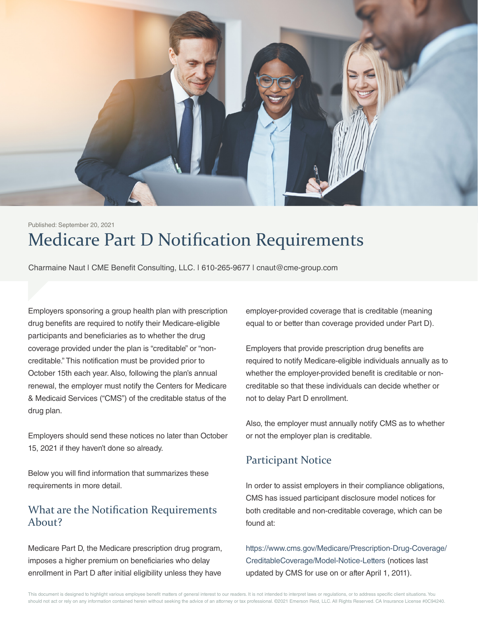

# Medicare Part D Notification Requirements Published: September 20, 2021

Charmaine Naut | CME Benefit Consulting, LLC. | 610-265-9677 | cnaut@cme-group.com

Employers sponsoring a group health plan with prescription drug benefits are required to notify their Medicare-eligible participants and beneficiaries as to whether the drug coverage provided under the plan is "creditable" or "noncreditable." This notification must be provided prior to October 15th each year. Also, following the plan's annual renewal, the employer must notify the Centers for Medicare & Medicaid Services ("CMS") of the creditable status of the drug plan.

Employers should send these notices no later than October 15, 2021 if they haven't done so already.

Below you will find information that summarizes these requirements in more detail.

## What are the Notification Requirements About?

Medicare Part D, the Medicare prescription drug program, imposes a higher premium on beneficiaries who delay enrollment in Part D after initial eligibility unless they have employer-provided coverage that is creditable (meaning equal to or better than coverage provided under Part D).

Employers that provide prescription drug benefits are required to notify Medicare-eligible individuals annually as to whether the employer-provided benefit is creditable or noncreditable so that these individuals can decide whether or not to delay Part D enrollment.

Also, the employer must annually notify CMS as to whether or not the employer plan is creditable.

## Participant Notice

In order to assist employers in their compliance obligations, CMS has issued participant disclosure model notices for both creditable and non-creditable coverage, which can be found at:

https://www.cms.gov/Medicare/Prescription-Drug-Coverage/ CreditableCoverage/Model-Notice-Letters (notices last updated by CMS for use on or after April 1, 2011).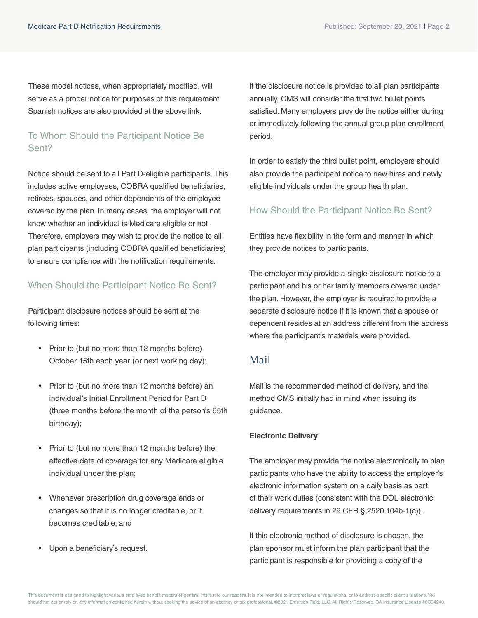These model notices, when appropriately modified, will serve as a proper notice for purposes of this requirement. Spanish notices are also provided at the above link.

## To Whom Should the Participant Notice Be Sent?

Notice should be sent to all Part D-eligible participants. This includes active employees, COBRA qualified beneficiaries, retirees, spouses, and other dependents of the employee covered by the plan. In many cases, the employer will not know whether an individual is Medicare eligible or not. Therefore, employers may wish to provide the notice to all plan participants (including COBRA qualified beneficiaries) to ensure compliance with the notification requirements.

#### When Should the Participant Notice Be Sent?

Participant disclosure notices should be sent at the following times:

- Prior to (but no more than 12 months before) October 15th each year (or next working day);
- Prior to (but no more than 12 months before) an individual's Initial Enrollment Period for Part D (three months before the month of the person's 65th birthday);
- Prior to (but no more than 12 months before) the effective date of coverage for any Medicare eligible individual under the plan;
- Whenever prescription drug coverage ends or changes so that it is no longer creditable, or it becomes creditable; and
- Upon a beneficiary's request.

If the disclosure notice is provided to all plan participants annually, CMS will consider the first two bullet points satisfied. Many employers provide the notice either during or immediately following the annual group plan enrollment period.

In order to satisfy the third bullet point, employers should also provide the participant notice to new hires and newly eligible individuals under the group health plan.

#### How Should the Participant Notice Be Sent?

Entities have flexibility in the form and manner in which they provide notices to participants.

The employer may provide a single disclosure notice to a participant and his or her family members covered under the plan. However, the employer is required to provide a separate disclosure notice if it is known that a spouse or dependent resides at an address different from the address where the participant's materials were provided.

#### Mail

Mail is the recommended method of delivery, and the method CMS initially had in mind when issuing its guidance.

#### **Electronic Delivery**

The employer may provide the notice electronically to plan participants who have the ability to access the employer's electronic information system on a daily basis as part of their work duties (consistent with the DOL electronic delivery requirements in 29 CFR § 2520.104b-1(c)).

If this electronic method of disclosure is chosen, the plan sponsor must inform the plan participant that the participant is responsible for providing a copy of the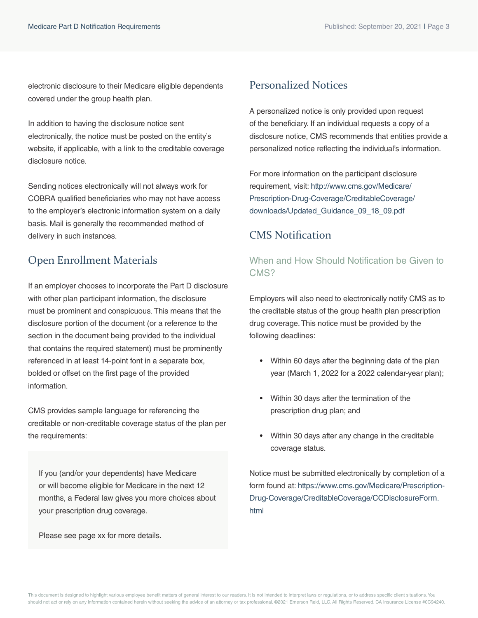electronic disclosure to their Medicare eligible dependents covered under the group health plan.

In addition to having the disclosure notice sent electronically, the notice must be posted on the entity's website, if applicable, with a link to the creditable coverage disclosure notice.

Sending notices electronically will not always work for COBRA qualified beneficiaries who may not have access to the employer's electronic information system on a daily basis. Mail is generally the recommended method of delivery in such instances.

## Open Enrollment Materials

If an employer chooses to incorporate the Part D disclosure with other plan participant information, the disclosure must be prominent and conspicuous. This means that the disclosure portion of the document (or a reference to the section in the document being provided to the individual that contains the required statement) must be prominently referenced in at least 14-point font in a separate box, bolded or offset on the first page of the provided information.

CMS provides sample language for referencing the creditable or non-creditable coverage status of the plan per the requirements:

If you (and/or your dependents) have Medicare or will become eligible for Medicare in the next 12 months, a Federal law gives you more choices about your prescription drug coverage.

Please see page xx for more details.

## Personalized Notices

A personalized notice is only provided upon request of the beneficiary. If an individual requests a copy of a disclosure notice, CMS recommends that entities provide a personalized notice reflecting the individual's information.

[For more information on the participant disclosure](http://www.cms.gov/Medicare/Prescription-Drug-Coverage/CreditableCoverage/downloads/Updated_Guidance_09_18_09.pdf)  requirement, visit: http://www.cms.gov/Medicare/ Prescription-Drug-Coverage/CreditableCoverage/ downloads/Updated\_Guidance\_09\_18\_09.pdf

## CMS Notification

#### When and How Should Notification be Given to CMS?

Employers will also need to electronically notify CMS as to the creditable status of the group health plan prescription drug coverage. This notice must be provided by the following deadlines:

- Within 60 days after the beginning date of the plan year (March 1, 2022 for a 2022 calendar-year plan);
- Within 30 days after the termination of the prescription drug plan; and
- Within 30 days after any change in the creditable coverage status.

Notice must be submitted electronically by completion of a [form found at: https://www.cms.gov/Medicare/Prescription-](https://www.cms.gov/Medicare/Prescription-Drug-Coverage/CreditableCoverage/CCDisclosureForm.html)Drug-Coverage/CreditableCoverage/CCDisclosureForm. html